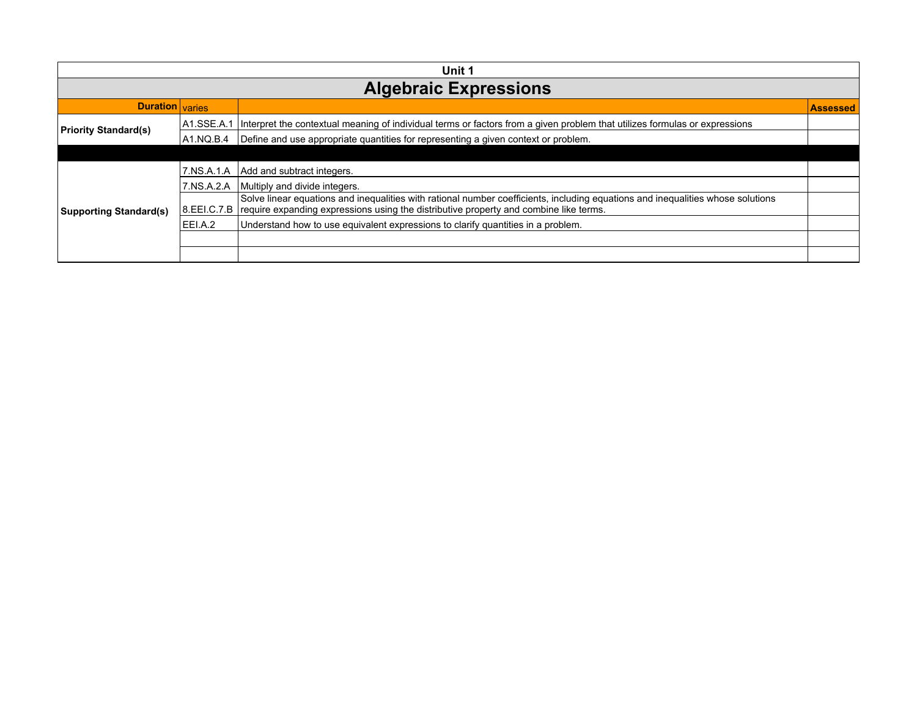| Unit 1                        |             |                                                                                                                                                                                                                                        |                 |
|-------------------------------|-------------|----------------------------------------------------------------------------------------------------------------------------------------------------------------------------------------------------------------------------------------|-----------------|
| <b>Algebraic Expressions</b>  |             |                                                                                                                                                                                                                                        |                 |
| <b>Duration</b> varies        |             |                                                                                                                                                                                                                                        | <b>Assessed</b> |
| <b>Priority Standard(s)</b>   | IA1.SSE.A.1 | Interpret the contextual meaning of individual terms or factors from a given problem that utilizes formulas or expressions                                                                                                             |                 |
|                               | IA1.NQ.B.4  | Define and use appropriate quantities for representing a given context or problem.                                                                                                                                                     |                 |
|                               |             |                                                                                                                                                                                                                                        |                 |
|                               | 17.NS.A.1.A | Add and subtract integers.                                                                                                                                                                                                             |                 |
|                               | 7.NS.A.2.A  | Multiply and divide integers.                                                                                                                                                                                                          |                 |
| <b>Supporting Standard(s)</b> |             | Solve linear equations and inequalities with rational number coefficients, including equations and inequalities whose solutions<br>8. EEI.C.7. B require expanding expressions using the distributive property and combine like terms. |                 |
|                               | EELA.2      | Understand how to use equivalent expressions to clarify quantities in a problem.                                                                                                                                                       |                 |
|                               |             |                                                                                                                                                                                                                                        |                 |
|                               |             |                                                                                                                                                                                                                                        |                 |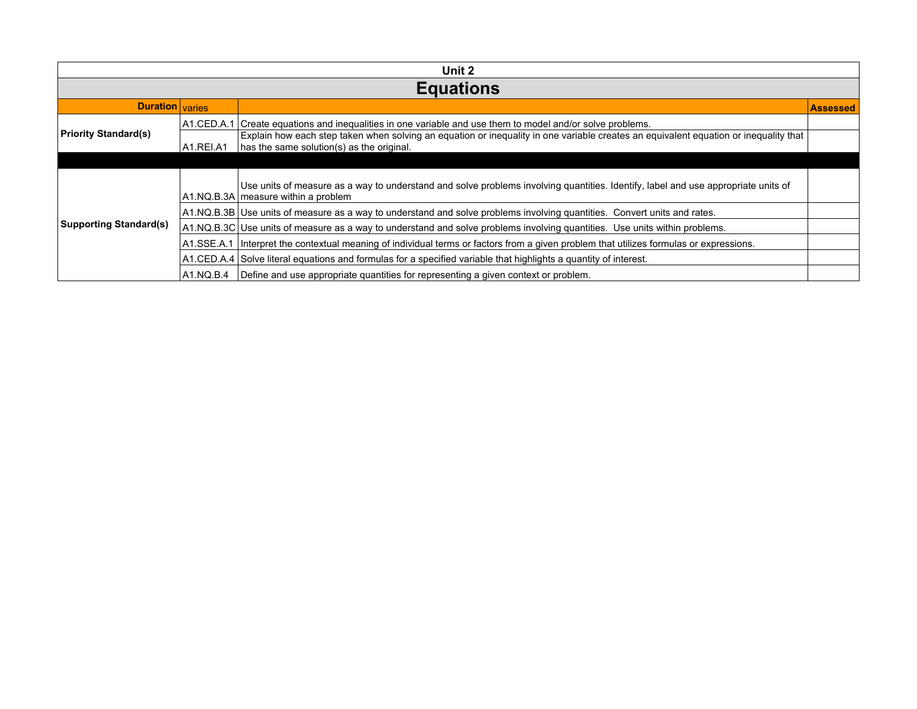| Unit 2                        |             |                                                                                                                                                                                   |                 |  |
|-------------------------------|-------------|-----------------------------------------------------------------------------------------------------------------------------------------------------------------------------------|-----------------|--|
| <b>Equations</b>              |             |                                                                                                                                                                                   |                 |  |
| <b>Duration</b> varies        |             |                                                                                                                                                                                   | <b>Assessed</b> |  |
| <b>Priority Standard(s)</b>   | IA1.CED.A.1 | I Create equations and inequalities in one variable and use them to model and/or solve problems.                                                                                  |                 |  |
|                               | A1.REI.A1   | Explain how each step taken when solving an equation or inequality in one variable creates an equivalent equation or inequality that<br>has the same solution(s) as the original. |                 |  |
|                               |             |                                                                                                                                                                                   |                 |  |
| <b>Supporting Standard(s)</b> |             | Use units of measure as a way to understand and solve problems involving quantities. Identify, label and use appropriate units of<br>A1.NQ.B.3A measure within a problem          |                 |  |
|                               |             | A1.NQ.B.3B Use units of measure as a way to understand and solve problems involving quantities. Convert units and rates.                                                          |                 |  |
|                               |             | A1.NQ.B.3C Use units of measure as a way to understand and solve problems involving quantities. Use units within problems.                                                        |                 |  |
|                               | A1.SSE.A.1  | Interpret the contextual meaning of individual terms or factors from a given problem that utilizes formulas or expressions.                                                       |                 |  |
|                               |             | A1.CED.A.4 Solve literal equations and formulas for a specified variable that highlights a quantity of interest.                                                                  |                 |  |
|                               | IA1.NQ.B.4  | Define and use appropriate quantities for representing a given context or problem.                                                                                                |                 |  |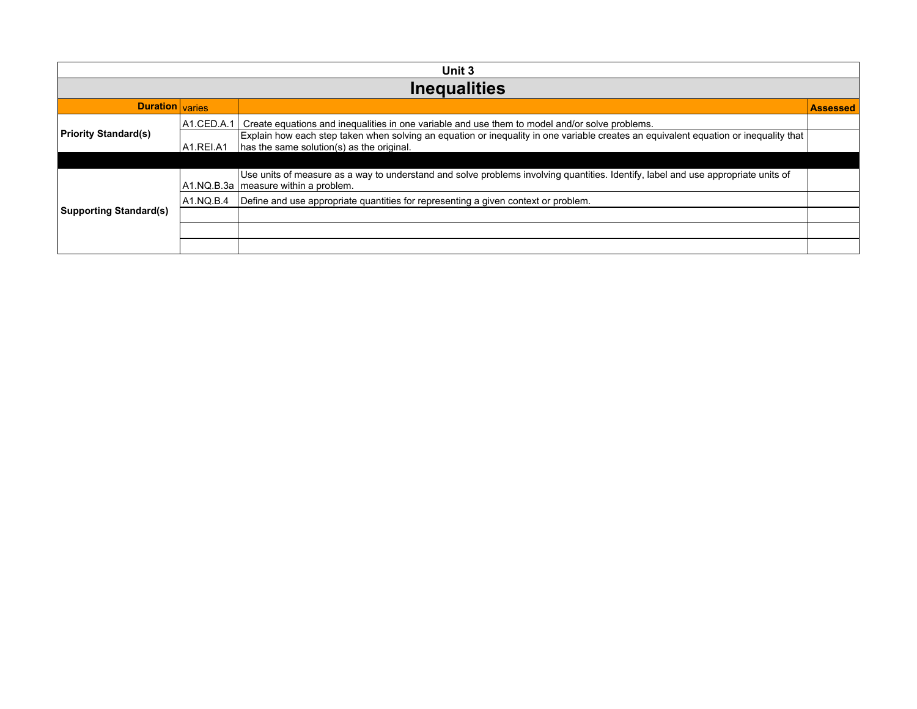| Unit 3                        |            |                                                                                                                                                                                   |                 |  |
|-------------------------------|------------|-----------------------------------------------------------------------------------------------------------------------------------------------------------------------------------|-----------------|--|
| <b>Inequalities</b>           |            |                                                                                                                                                                                   |                 |  |
| Duration varies               |            |                                                                                                                                                                                   | <b>Assessed</b> |  |
| <b>Priority Standard(s)</b>   | A1.CED.A.1 | Create equations and inequalities in one variable and use them to model and/or solve problems.                                                                                    |                 |  |
|                               | A1.REI.A1  | Explain how each step taken when solving an equation or inequality in one variable creates an equivalent equation or inequality that<br>has the same solution(s) as the original. |                 |  |
|                               |            |                                                                                                                                                                                   |                 |  |
| <b>Supporting Standard(s)</b> |            | Use units of measure as a way to understand and solve problems involving quantities. Identify, label and use appropriate units of<br>A1.NQ.B.3a   measure within a problem.       |                 |  |
|                               | A1.NQ.B.4  | Define and use appropriate quantities for representing a given context or problem.                                                                                                |                 |  |
|                               |            |                                                                                                                                                                                   |                 |  |
|                               |            |                                                                                                                                                                                   |                 |  |
|                               |            |                                                                                                                                                                                   |                 |  |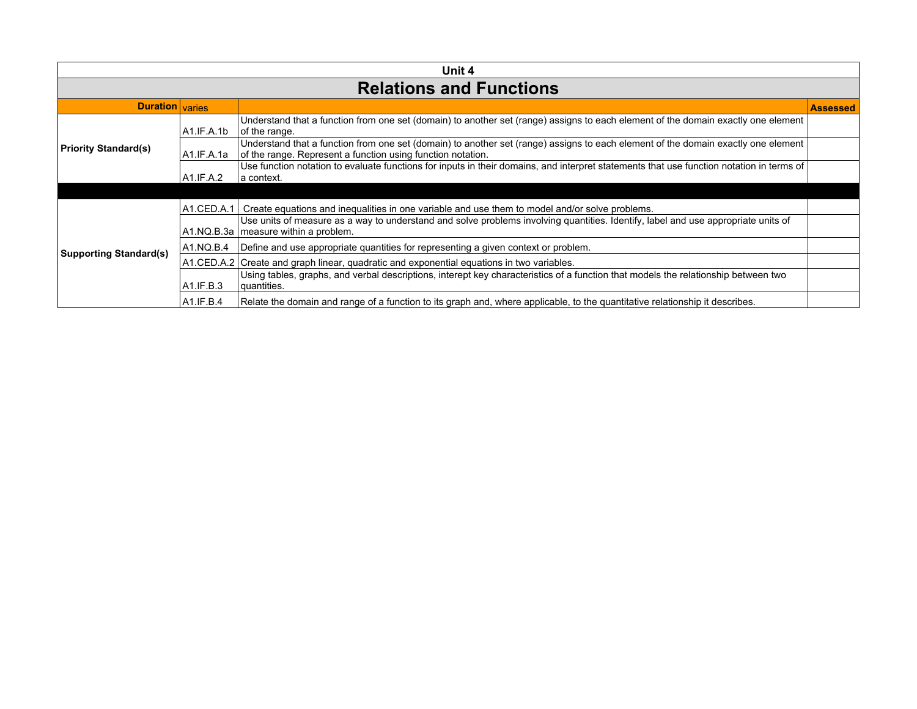| Unit 4                         |             |                                                                                                                                                                                                  |                 |
|--------------------------------|-------------|--------------------------------------------------------------------------------------------------------------------------------------------------------------------------------------------------|-----------------|
| <b>Relations and Functions</b> |             |                                                                                                                                                                                                  |                 |
| <b>Duration</b> varies         |             |                                                                                                                                                                                                  | <b>Assessed</b> |
| Priority Standard(s)           | IA1.IF.A.1b | Understand that a function from one set (domain) to another set (range) assigns to each element of the domain exactly one element<br>of the range.                                               |                 |
|                                | IA1.IF.A.1a | Understand that a function from one set (domain) to another set (range) assigns to each element of the domain exactly one element<br>of the range. Represent a function using function notation. |                 |
|                                | A1.IF.A.2   | Use function notation to evaluate functions for inputs in their domains, and interpret statements that use function notation in terms of<br>∣a context.                                          |                 |
|                                |             |                                                                                                                                                                                                  |                 |
|                                | A1.CED.A.1  | Create equations and inequalities in one variable and use them to model and/or solve problems.                                                                                                   |                 |
|                                |             | Use units of measure as a way to understand and solve problems involving quantities. Identify, label and use appropriate units of<br>A1.NQ.B.3a   measure within a problem.                      |                 |
| <b>Supporting Standard(s)</b>  | A1.NQ.B.4   | Define and use appropriate quantities for representing a given context or problem.                                                                                                               |                 |
|                                |             | A1.CED.A.2 Create and graph linear, guadratic and exponential equations in two variables.                                                                                                        |                 |
|                                | A1.IF.B.3   | Using tables, graphs, and verbal descriptions, interept key characteristics of a function that models the relationship between two<br>quantities.                                                |                 |
|                                | A1.F.B.4    | Relate the domain and range of a function to its graph and, where applicable, to the quantitative relationship it describes.                                                                     |                 |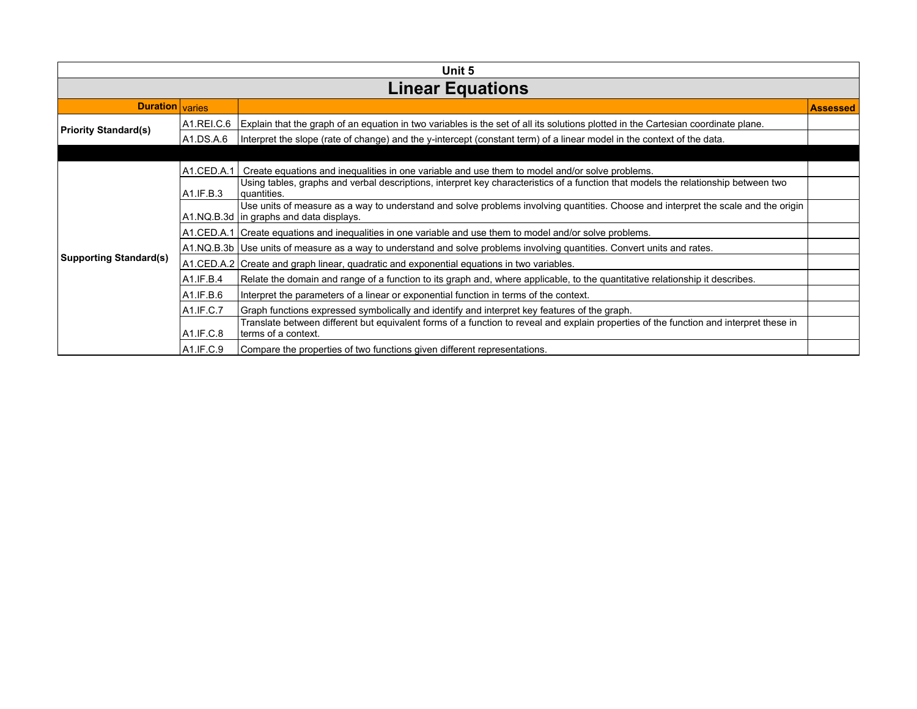| Unit 5                        |               |                                                                                                                                                                               |                 |
|-------------------------------|---------------|-------------------------------------------------------------------------------------------------------------------------------------------------------------------------------|-----------------|
| <b>Linear Equations</b>       |               |                                                                                                                                                                               |                 |
| <b>Duration</b> varies        |               |                                                                                                                                                                               | <b>Assessed</b> |
| <b>Priority Standard(s)</b>   | A1.REI.C.6    | Explain that the graph of an equation in two variables is the set of all its solutions plotted in the Cartesian coordinate plane.                                             |                 |
|                               | A1.DS.A.6     | Interpret the slope (rate of change) and the y-intercept (constant term) of a linear model in the context of the data.                                                        |                 |
|                               |               |                                                                                                                                                                               |                 |
|                               | $A1$ .CED.A.1 | Create equations and inequalities in one variable and use them to model and/or solve problems.                                                                                |                 |
|                               | A1.IF.B.3     | Using tables, graphs and verbal descriptions, interpret key characteristics of a function that models the relationship between two<br> quantities.                            |                 |
|                               |               | Use units of measure as a way to understand and solve problems involving quantities. Choose and interpret the scale and the origin<br>A1.NQ.B.3d in graphs and data displays. |                 |
|                               |               | A1. CED. A. 1   Create equations and inequalities in one variable and use them to model and/or solve problems.                                                                |                 |
|                               |               | A1.NQ.B.3b Use units of measure as a way to understand and solve problems involving quantities. Convert units and rates.                                                      |                 |
| <b>Supporting Standard(s)</b> |               | A1.CED.A.2 Create and graph linear, quadratic and exponential equations in two variables.                                                                                     |                 |
|                               | A1.IF.B.4     | Relate the domain and range of a function to its graph and, where applicable, to the quantitative relationship it describes.                                                  |                 |
|                               | A1.IF.B.6     | Interpret the parameters of a linear or exponential function in terms of the context.                                                                                         |                 |
|                               | A1.IF.C.7     | Graph functions expressed symbolically and identify and interpret key features of the graph.                                                                                  |                 |
|                               | A1.IF.C.8     | Translate between different but equivalent forms of a function to reveal and explain properties of the function and interpret these in<br>terms of a context.                 |                 |
|                               | A1.IF.C.9     | Compare the properties of two functions given different representations.                                                                                                      |                 |